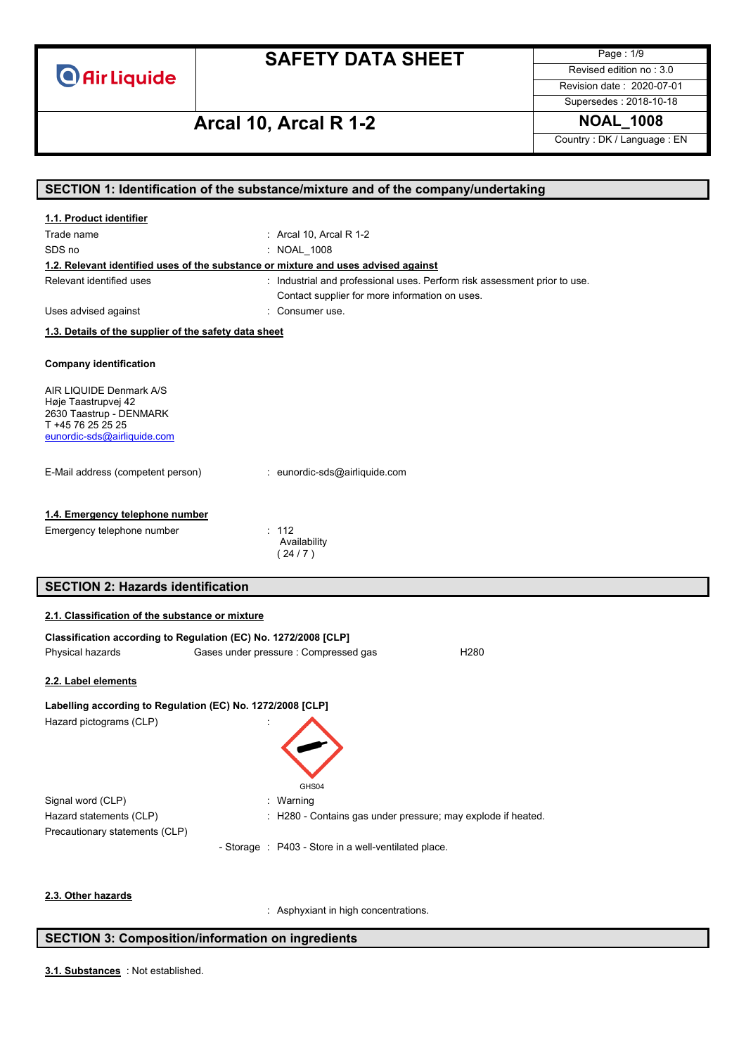# **SAFETY DATA SHEET**

Page : 1/9 Revised edition no : 3.0

Revision date : 2020-07-01 Supersedes : 2018-10-18

# **Arcal 10, Arcal R 1-2 NOAL\_1008**

Country : DK / Language : EN

| SECTION 1: Identification of the substance/mixture and of the company/undertaking  |                                                                           |  |
|------------------------------------------------------------------------------------|---------------------------------------------------------------------------|--|
| 1.1. Product identifier                                                            |                                                                           |  |
| Trade name                                                                         | : Arcal 10, Arcal R 1-2                                                   |  |
| SDS no                                                                             | : NOAL 1008                                                               |  |
| 1.2. Relevant identified uses of the substance or mixture and uses advised against |                                                                           |  |
| Relevant identified uses                                                           | : Industrial and professional uses. Perform risk assessment prior to use. |  |
|                                                                                    | Contact supplier for more information on uses.                            |  |
| Uses advised against                                                               | : Consumer use.                                                           |  |
| 1.3. Details of the supplier of the safety data sheet                              |                                                                           |  |
|                                                                                    |                                                                           |  |
| <b>Company identification</b>                                                      |                                                                           |  |
| AIR LIQUIDE Denmark A/S                                                            |                                                                           |  |
| Høje Taastrupvej 42                                                                |                                                                           |  |
| 2630 Taastrup - DENMARK<br>T +45 76 25 25 25                                       |                                                                           |  |
| eunordic-sds@airliquide.com                                                        |                                                                           |  |
|                                                                                    |                                                                           |  |
| E-Mail address (competent person)                                                  | : eunordic-sds@airliquide.com                                             |  |
|                                                                                    |                                                                           |  |
| 1.4. Emergency telephone number                                                    |                                                                           |  |
| Emergency telephone number                                                         | : 112                                                                     |  |
|                                                                                    | Availability                                                              |  |
|                                                                                    | (24/7)                                                                    |  |
| <b>SECTION 2: Hazards identification</b>                                           |                                                                           |  |
|                                                                                    |                                                                           |  |
| 2.1. Classification of the substance or mixture                                    |                                                                           |  |
| Classification according to Regulation (EC) No. 1272/2008 [CLP]                    |                                                                           |  |
| Physical hazards                                                                   | Gases under pressure : Compressed gas<br>H <sub>280</sub>                 |  |
|                                                                                    |                                                                           |  |
| 2.2. Label elements                                                                |                                                                           |  |
| Labelling according to Regulation (EC) No. 1272/2008 [CLP]                         |                                                                           |  |
|                                                                                    |                                                                           |  |
| Hazard pictograms (CLP)                                                            |                                                                           |  |
|                                                                                    |                                                                           |  |
|                                                                                    |                                                                           |  |
|                                                                                    |                                                                           |  |
|                                                                                    | GHS04                                                                     |  |
| Signal word (CLP)                                                                  | : Warning                                                                 |  |
| Hazard statements (CLP)                                                            | : H280 - Contains gas under pressure; may explode if heated.              |  |
| Precautionary statements (CLP)                                                     |                                                                           |  |
|                                                                                    | - Storage : P403 - Store in a well-ventilated place.                      |  |
|                                                                                    |                                                                           |  |
| 2.3. Other hazards                                                                 |                                                                           |  |

### **SECTION 3: Composition/information on ingredients**

: Not established. **3.1. Substances**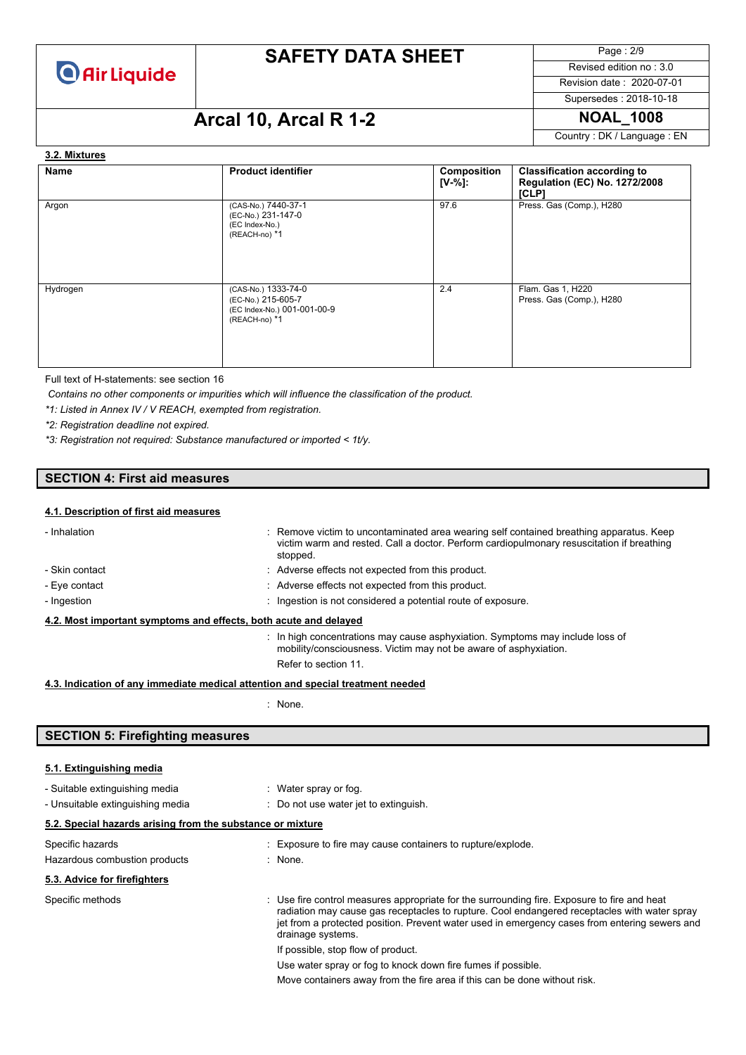

Page : 2/9 Revised edition no : 3.0 Revision date : 2020-07-01

Supersedes : 2018-10-18

# **Arcal 10, Arcal R 1-2 NOAL\_1008**

Country : DK / Language : EN

#### **3.2. Mixtures**

| Name     | <b>Product identifier</b>                                                                 | Composition<br>$[V-%]:$ | <b>Classification according to</b><br><b>Regulation (EC) No. 1272/2008</b><br>[CLP] |
|----------|-------------------------------------------------------------------------------------------|-------------------------|-------------------------------------------------------------------------------------|
| Argon    | (CAS-No.) 7440-37-1<br>(EC-No.) 231-147-0<br>(EC Index-No.)<br>(REACH-no) *1              | 97.6                    | Press. Gas (Comp.), H280                                                            |
| Hydrogen | (CAS-No.) 1333-74-0<br>(EC-No.) 215-605-7<br>(EC Index-No.) 001-001-00-9<br>(REACH-no) *1 | 2.4                     | Flam. Gas 1, H220<br>Press. Gas (Comp.), H280                                       |

Full text of H-statements: see section 16

*Contains no other components or impurities which will influence the classification of the product.*

*\*1: Listed in Annex IV / V REACH, exempted from registration.*

*\*2: Registration deadline not expired.*

*\*3: Registration not required: Substance manufactured or imported < 1t/y.*

### **SECTION 4: First aid measures**

#### **4.1. Description of first aid measures**

| - Inhalation                                                                    |  | : Remove victim to uncontaminated area wearing self contained breathing apparatus. Keep<br>victim warm and rested. Call a doctor. Perform cardiopulmonary resuscitation if breathing<br>stopped. |
|---------------------------------------------------------------------------------|--|--------------------------------------------------------------------------------------------------------------------------------------------------------------------------------------------------|
| - Skin contact                                                                  |  | : Adverse effects not expected from this product.                                                                                                                                                |
| - Eve contact                                                                   |  | : Adverse effects not expected from this product.                                                                                                                                                |
| - Ingestion                                                                     |  | : Ingestion is not considered a potential route of exposure.                                                                                                                                     |
| 4.2. Most important symptoms and effects, both acute and delayed                |  |                                                                                                                                                                                                  |
|                                                                                 |  | : In high concentrations may cause asphyxiation. Symptoms may include loss of<br>mobility/consciousness. Victim may not be aware of asphyxiation.                                                |
|                                                                                 |  | Refer to section 11.                                                                                                                                                                             |
| 4.3. Indication of any immediate medical attention and special treatment needed |  |                                                                                                                                                                                                  |

: None.

### **SECTION 5: Firefighting measures**

#### **5.1. Extinguishing media**

| - Suitable extinguishing media<br>- Unsuitable extinguishing media | : Water spray or fog.<br>: Do not use water jet to extinguish.                                                                                                                                                                                                                                                    |
|--------------------------------------------------------------------|-------------------------------------------------------------------------------------------------------------------------------------------------------------------------------------------------------------------------------------------------------------------------------------------------------------------|
| 5.2. Special hazards arising from the substance or mixture         |                                                                                                                                                                                                                                                                                                                   |
| Specific hazards<br>Hazardous combustion products                  | : Exposure to fire may cause containers to rupture/explode.<br>: None.                                                                                                                                                                                                                                            |
| 5.3. Advice for firefighters                                       |                                                                                                                                                                                                                                                                                                                   |
| Specific methods                                                   | : Use fire control measures appropriate for the surrounding fire. Exposure to fire and heat<br>radiation may cause gas receptacles to rupture. Cool endangered receptacles with water spray<br>jet from a protected position. Prevent water used in emergency cases from entering sewers and<br>drainage systems. |
|                                                                    | If possible, stop flow of product.                                                                                                                                                                                                                                                                                |
|                                                                    | Use water spray or fog to knock down fire fumes if possible.                                                                                                                                                                                                                                                      |
|                                                                    | Move containers away from the fire area if this can be done without risk.                                                                                                                                                                                                                                         |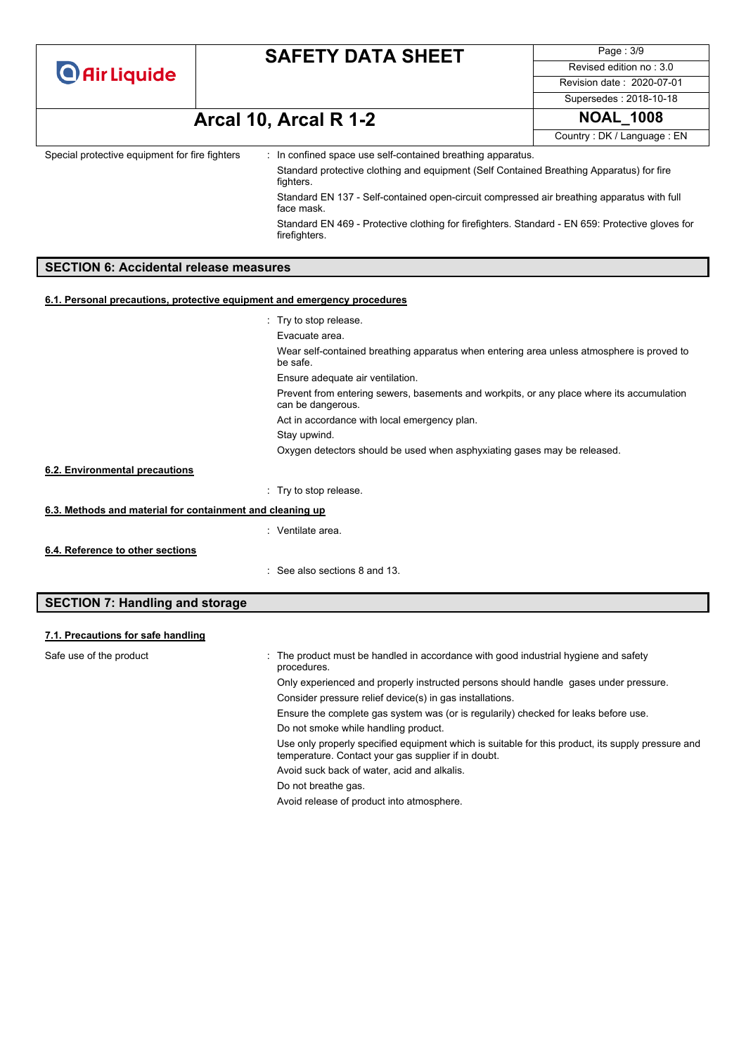| <b>O</b> Air Liquide |
|----------------------|
|----------------------|

Page : 3/9 Revised edition no : 3.0 Revision date : 2020-07-01 Supersedes : 2018-10-18

# **Arcal 10, Arcal R 1-2 NOAL\_1008**

Country : DK / Language : EN

| Special protective equipment for fire fighters | : In confined space use self-contained breathing apparatus.                                                       |  |
|------------------------------------------------|-------------------------------------------------------------------------------------------------------------------|--|
|                                                | Standard protective clothing and equipment (Self Contained Breathing Apparatus) for fire<br>fighters.             |  |
|                                                | Standard EN 137 - Self-contained open-circuit compressed air breathing apparatus with full<br>face mask.          |  |
|                                                | Standard EN 469 - Protective clothing for firefighters. Standard - EN 659: Protective gloves for<br>firefighters. |  |
|                                                |                                                                                                                   |  |
| <b>SECTION 6: Accidental release measures</b>  |                                                                                                                   |  |

#### **6.1. Personal precautions, protective equipment and emergency procedures**

|                                                           | $\therefore$ Try to stop release.                                                                              |
|-----------------------------------------------------------|----------------------------------------------------------------------------------------------------------------|
|                                                           | Evacuate area.                                                                                                 |
|                                                           | Wear self-contained breathing apparatus when entering area unless atmosphere is proved to<br>be safe.          |
|                                                           | Ensure adequate air ventilation.                                                                               |
|                                                           | Prevent from entering sewers, basements and workpits, or any place where its accumulation<br>can be dangerous. |
|                                                           | Act in accordance with local emergency plan.                                                                   |
|                                                           | Stay upwind.                                                                                                   |
|                                                           | Oxygen detectors should be used when asphyxiating gases may be released.                                       |
| 6.2. Environmental precautions                            |                                                                                                                |
|                                                           | : Try to stop release.                                                                                         |
| 6.3. Methods and material for containment and cleaning up |                                                                                                                |
|                                                           | : Ventilate area.                                                                                              |
| 6.4. Reference to other sections                          |                                                                                                                |
|                                                           | : See also sections 8 and 13.                                                                                  |

### **SECTION 7: Handling and storage**

#### **7.1. Precautions for safe handling**

| Safe use of the product | : The product must be handled in accordance with good industrial hygiene and safety<br>procedures.                                                       |
|-------------------------|----------------------------------------------------------------------------------------------------------------------------------------------------------|
|                         | Only experienced and properly instructed persons should handle gases under pressure.                                                                     |
|                         | Consider pressure relief device(s) in gas installations.                                                                                                 |
|                         | Ensure the complete gas system was (or is regularily) checked for leaks before use.                                                                      |
|                         | Do not smoke while handling product.                                                                                                                     |
|                         | Use only properly specified equipment which is suitable for this product, its supply pressure and<br>temperature. Contact your gas supplier if in doubt. |
|                         | Avoid suck back of water, acid and alkalis.                                                                                                              |
|                         | Do not breathe gas.                                                                                                                                      |
|                         | Avoid release of product into atmosphere.                                                                                                                |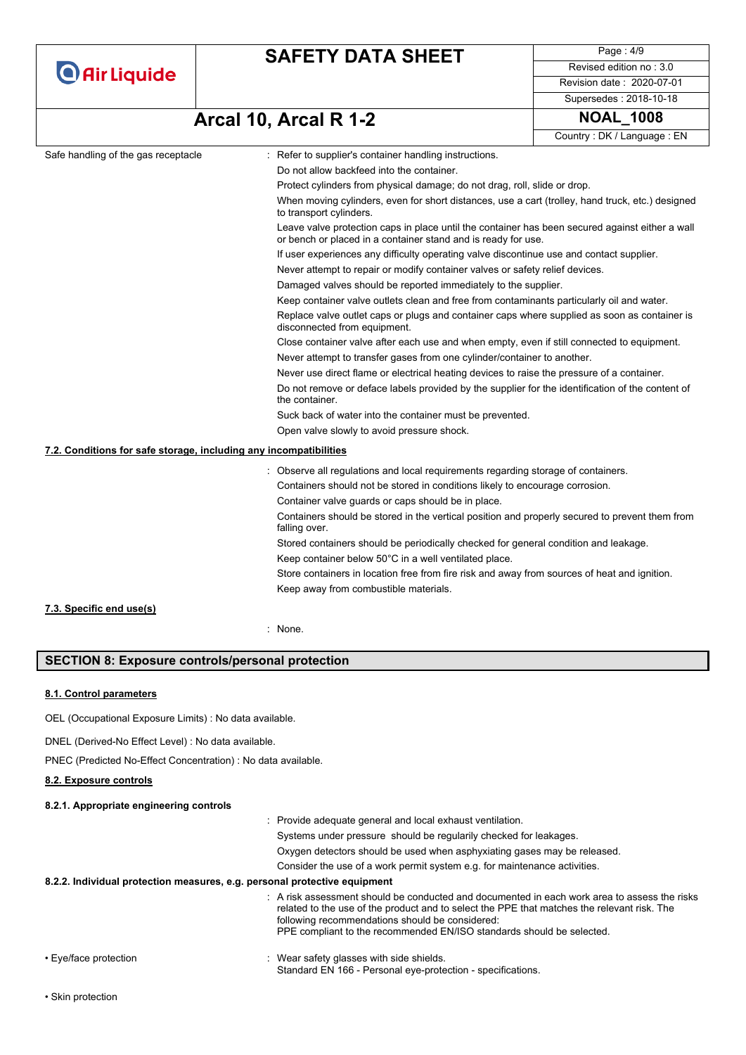| <b>O</b> Air Liquide |  |  |
|----------------------|--|--|
|                      |  |  |

Page : 4/9 Revised edition no : 3.0 Revision date : 2020-07-01 Supersedes : 2018-10-18

# **Arcal 10, Arcal R 1-2 NOAL\_1008**

```
Country : DK / Language : EN
```

|                                                                   |                                                                                                                                                                  | Country: DK / Language: EN |
|-------------------------------------------------------------------|------------------------------------------------------------------------------------------------------------------------------------------------------------------|----------------------------|
| Safe handling of the gas receptacle                               | : Refer to supplier's container handling instructions.                                                                                                           |                            |
|                                                                   | Do not allow backfeed into the container.                                                                                                                        |                            |
|                                                                   | Protect cylinders from physical damage; do not drag, roll, slide or drop.                                                                                        |                            |
|                                                                   | When moving cylinders, even for short distances, use a cart (trolley, hand truck, etc.) designed<br>to transport cylinders.                                      |                            |
|                                                                   | Leave valve protection caps in place until the container has been secured against either a wall<br>or bench or placed in a container stand and is ready for use. |                            |
|                                                                   | If user experiences any difficulty operating valve discontinue use and contact supplier.                                                                         |                            |
|                                                                   | Never attempt to repair or modify container valves or safety relief devices.                                                                                     |                            |
|                                                                   | Damaged valves should be reported immediately to the supplier.                                                                                                   |                            |
|                                                                   | Keep container valve outlets clean and free from contaminants particularly oil and water.                                                                        |                            |
|                                                                   | Replace valve outlet caps or plugs and container caps where supplied as soon as container is<br>disconnected from equipment.                                     |                            |
|                                                                   | Close container valve after each use and when empty, even if still connected to equipment.                                                                       |                            |
|                                                                   | Never attempt to transfer gases from one cylinder/container to another.                                                                                          |                            |
|                                                                   | Never use direct flame or electrical heating devices to raise the pressure of a container.                                                                       |                            |
|                                                                   | Do not remove or deface labels provided by the supplier for the identification of the content of<br>the container.                                               |                            |
|                                                                   | Suck back of water into the container must be prevented.                                                                                                         |                            |
|                                                                   | Open valve slowly to avoid pressure shock.                                                                                                                       |                            |
| 7.2. Conditions for safe storage, including any incompatibilities |                                                                                                                                                                  |                            |
|                                                                   | Observe all regulations and local requirements regarding storage of containers.                                                                                  |                            |
|                                                                   | Containers should not be stored in conditions likely to encourage corrosion.                                                                                     |                            |
|                                                                   | Container valve guards or caps should be in place.                                                                                                               |                            |
|                                                                   | Containers should be stored in the vertical position and properly secured to prevent them from<br>falling over.                                                  |                            |
|                                                                   | Stored containers should be periodically checked for general condition and leakage.                                                                              |                            |
|                                                                   | Keep container below 50°C in a well ventilated place.                                                                                                            |                            |
|                                                                   | Store containers in location free from fire risk and away from sources of heat and ignition.                                                                     |                            |
|                                                                   | Keep away from combustible materials.                                                                                                                            |                            |
| 7.3. Specific end use(s)                                          |                                                                                                                                                                  |                            |

: None.

### **SECTION 8: Exposure controls/personal protection**

#### **8.1. Control parameters**

OEL (Occupational Exposure Limits) : No data available.

DNEL (Derived-No Effect Level) : No data available.

PNEC (Predicted No-Effect Concentration) : No data available.

### **8.2. Exposure controls**

### **8.2.1. Appropriate engineering controls**

|                                                                           | : Provide adequate general and local exhaust ventilation.                                                                                                                                                                                                                                                                          |
|---------------------------------------------------------------------------|------------------------------------------------------------------------------------------------------------------------------------------------------------------------------------------------------------------------------------------------------------------------------------------------------------------------------------|
|                                                                           | Systems under pressure should be regularily checked for leakages.                                                                                                                                                                                                                                                                  |
|                                                                           | Oxygen detectors should be used when asphyxiating gases may be released.                                                                                                                                                                                                                                                           |
|                                                                           | Consider the use of a work permit system e.g. for maintenance activities.                                                                                                                                                                                                                                                          |
| 8.2.2. Individual protection measures, e.g. personal protective equipment |                                                                                                                                                                                                                                                                                                                                    |
|                                                                           | $\therefore$ A risk assessment should be conducted and documented in each work area to assess the risks<br>related to the use of the product and to select the PPE that matches the relevant risk. The<br>following recommendations should be considered:<br>PPE compliant to the recommended EN/ISO standards should be selected. |
|                                                                           |                                                                                                                                                                                                                                                                                                                                    |
| $\Gamma$ ualface protoction                                               | $\cdot$ Moss safety sloppes with side abjoids.                                                                                                                                                                                                                                                                                     |

• Eye/face protection **in the state of the set of the set of the set of the set of the set of the set of the shields.** Standard EN 166 - Personal eye-protection - specifications.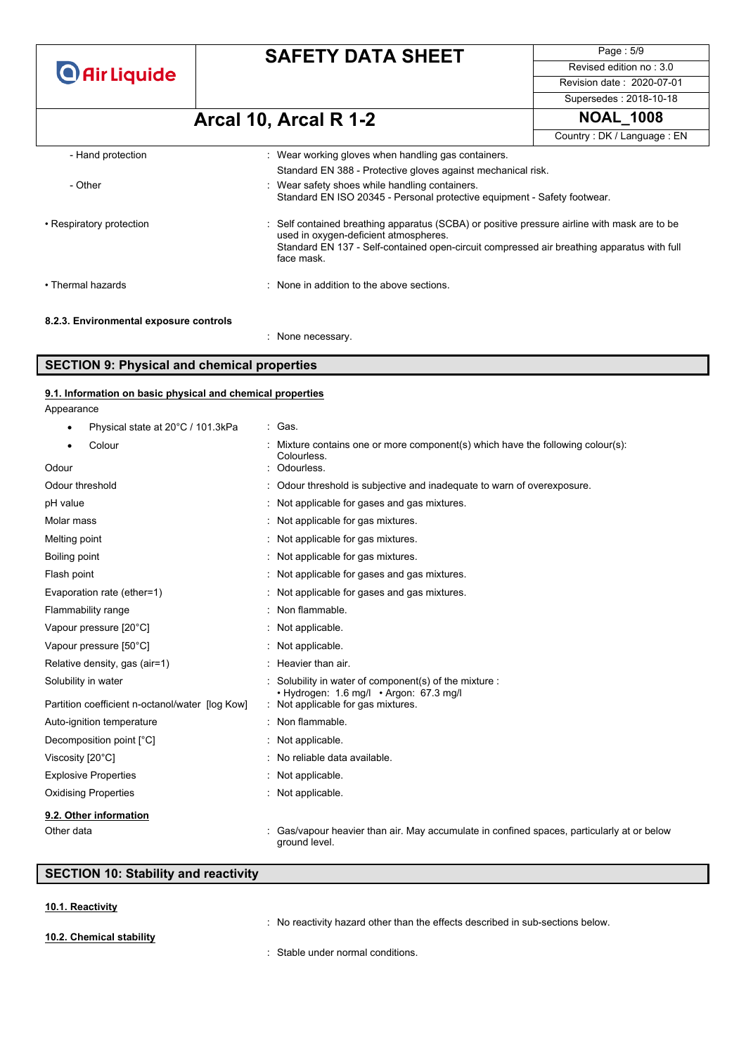### **SAFETY DATA SHEET**

Page : 5/9 Revised edition no : 3.0 Revision date : 2020-07-01

#### Supersedes : 2018-10-18

# **Arcal 10, Arcal R 1-2 NOAL\_1008**

Country : DK / Language : EN

| - Hand protection                      | : Wear working gloves when handling gas containers.                                                                                                                                                                                               |
|----------------------------------------|---------------------------------------------------------------------------------------------------------------------------------------------------------------------------------------------------------------------------------------------------|
|                                        | Standard EN 388 - Protective gloves against mechanical risk.                                                                                                                                                                                      |
| - Other                                | : Wear safety shoes while handling containers.<br>Standard EN ISO 20345 - Personal protective equipment - Safety footwear.                                                                                                                        |
| • Respiratory protection               | : Self contained breathing apparatus (SCBA) or positive pressure airline with mask are to be<br>used in oxygen-deficient atmospheres.<br>Standard EN 137 - Self-contained open-circuit compressed air breathing apparatus with full<br>face mask. |
| • Thermal hazards                      | : None in addition to the above sections.                                                                                                                                                                                                         |
| 8.2.3. Environmental exposure controls |                                                                                                                                                                                                                                                   |

#### : None necessary.

### **SECTION 9: Physical and chemical properties**

Appearance **9.1. Information on basic physical and chemical properties**

| Physical state at 20°C / 101.3kPa               | : Gas.                                                                                                    |
|-------------------------------------------------|-----------------------------------------------------------------------------------------------------------|
| Colour<br>٠                                     | Mixture contains one or more component(s) which have the following colour(s):<br>Colourless.              |
| Odour                                           | Odourless.                                                                                                |
| Odour threshold                                 | Odour threshold is subjective and inadequate to warn of overexposure.                                     |
| pH value                                        | Not applicable for gases and gas mixtures.                                                                |
| Molar mass                                      | : Not applicable for gas mixtures.                                                                        |
| Melting point                                   | : Not applicable for gas mixtures.                                                                        |
| Boiling point                                   | : Not applicable for gas mixtures.                                                                        |
| Flash point                                     | Not applicable for gases and gas mixtures.                                                                |
| Evaporation rate (ether=1)                      | Not applicable for gases and gas mixtures.                                                                |
| Flammability range                              | Non flammable.                                                                                            |
| Vapour pressure [20°C]                          | : Not applicable.                                                                                         |
| Vapour pressure [50°C]                          | : Not applicable.                                                                                         |
| Relative density, gas (air=1)                   | : Heavier than air.                                                                                       |
| Solubility in water                             | Solubility in water of component(s) of the mixture :<br>• Hydrogen: 1.6 mg/l • Argon: 67.3 mg/l           |
| Partition coefficient n-octanol/water [log Kow] | : Not applicable for gas mixtures.                                                                        |
| Auto-ignition temperature                       | : Non flammable.                                                                                          |
| Decomposition point [°C]                        | Not applicable.                                                                                           |
| Viscosity [20°C]                                | No reliable data available.                                                                               |
| <b>Explosive Properties</b>                     | Not applicable.                                                                                           |
| <b>Oxidising Properties</b>                     | : Not applicable.                                                                                         |
| 9.2. Other information                          |                                                                                                           |
| Other data                                      | Gas/vapour heavier than air. May accumulate in confined spaces, particularly at or below<br>around level. |

### **SECTION 10: Stability and reactivity**

#### **10.1. Reactivity**

: No reactivity hazard other than the effects described in sub-sections below. : Stable under normal conditions. **10.2. Chemical stability**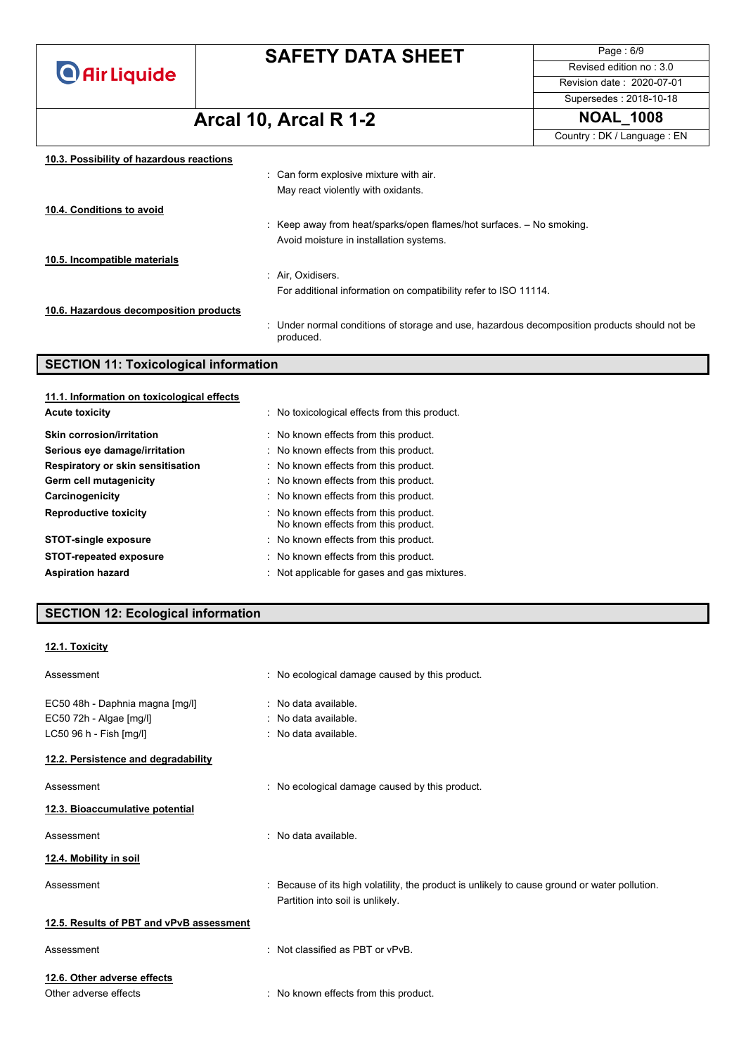## **SAFETY DATA SHEET**

Page : 6/9 Revised edition no : 3.0 Revision date : 2020-07-01 Supersedes : 2018-10-18

# **Arcal 10, Arcal R 1-2 NOAL\_1008**

Country : DK / Language : EN

| 10.3. Possibility of hazardous reactions |                                                                                                           |
|------------------------------------------|-----------------------------------------------------------------------------------------------------------|
|                                          | : Can form explosive mixture with air.                                                                    |
|                                          | May react violently with oxidants.                                                                        |
| 10.4. Conditions to avoid                |                                                                                                           |
|                                          | : Keep away from heat/sparks/open flames/hot surfaces. $-$ No smoking.                                    |
|                                          | Avoid moisture in installation systems.                                                                   |
| 10.5. Incompatible materials             |                                                                                                           |
|                                          | : Air. Oxidisers.                                                                                         |
|                                          | For additional information on compatibility refer to ISO 11114.                                           |
| 10.6. Hazardous decomposition products   |                                                                                                           |
|                                          | : Under normal conditions of storage and use, hazardous decomposition products should not be<br>produced. |

### **SECTION 11: Toxicological information**

| 11.1. Information on toxicological effects |                                                                              |
|--------------------------------------------|------------------------------------------------------------------------------|
| <b>Acute toxicity</b>                      | : No toxicological effects from this product.                                |
| Skin corrosion/irritation                  | : No known effects from this product.                                        |
| Serious eye damage/irritation              | : No known effects from this product.                                        |
| Respiratory or skin sensitisation          | : No known effects from this product.                                        |
| Germ cell mutagenicity                     | : No known effects from this product.                                        |
| Carcinogenicity                            | : No known effects from this product.                                        |
| <b>Reproductive toxicity</b>               | : No known effects from this product.<br>No known effects from this product. |
| <b>STOT-single exposure</b>                | : No known effects from this product.                                        |
| <b>STOT-repeated exposure</b>              | : No known effects from this product.                                        |
| <b>Aspiration hazard</b>                   | : Not applicable for gases and gas mixtures.                                 |

### **SECTION 12: Ecological information**

#### **12.1. Toxicity**

| Assessment                                                                            | : No ecological damage caused by this product.                                                                                    |
|---------------------------------------------------------------------------------------|-----------------------------------------------------------------------------------------------------------------------------------|
| EC50 48h - Daphnia magna [mg/l]<br>EC50 72h - Algae [mg/l]<br>LC50 96 h - Fish [mg/l] | : No data available.<br>: No data available.<br>$\therefore$ No data available.                                                   |
| 12.2. Persistence and degradability                                                   |                                                                                                                                   |
| Assessment                                                                            | : No ecological damage caused by this product.                                                                                    |
| 12.3. Bioaccumulative potential                                                       |                                                                                                                                   |
| Assessment                                                                            | $\therefore$ No data available.                                                                                                   |
| 12.4. Mobility in soil                                                                |                                                                                                                                   |
| Assessment                                                                            | : Because of its high volatility, the product is unlikely to cause ground or water pollution.<br>Partition into soil is unlikely. |
| 12.5. Results of PBT and vPvB assessment                                              |                                                                                                                                   |
| Assessment                                                                            | : Not classified as PBT or vPvB.                                                                                                  |
| 12.6. Other adverse effects                                                           |                                                                                                                                   |
| Other adverse effects                                                                 | : No known effects from this product.                                                                                             |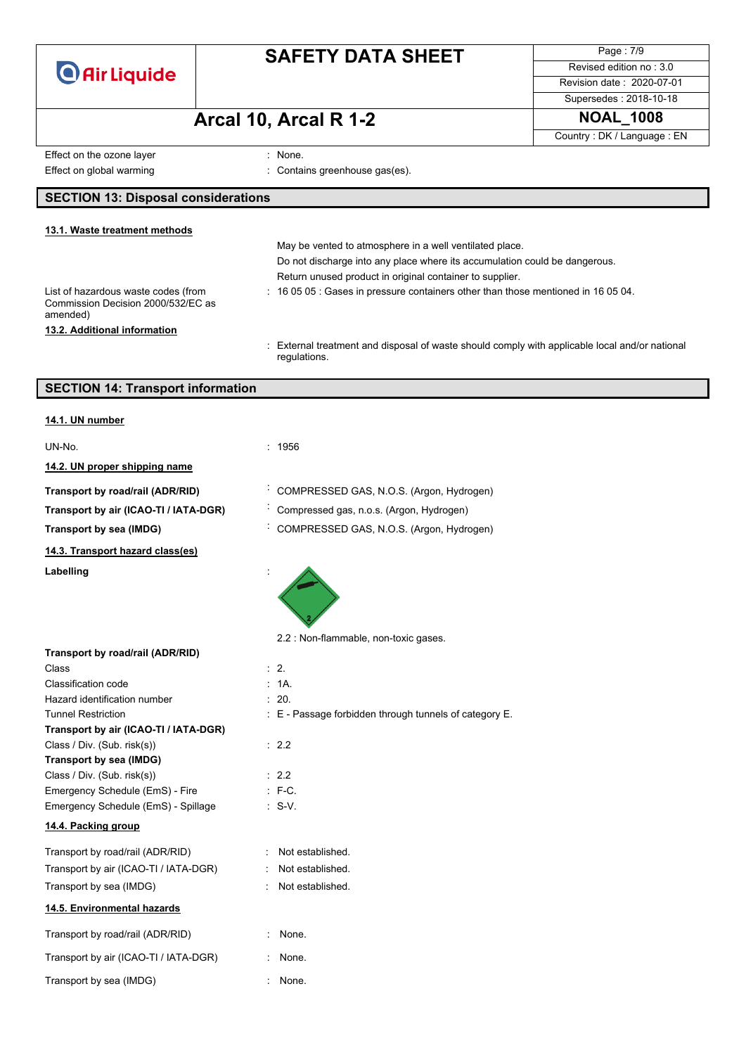

Page : 7/9 Revised edition no : 3.0 Revision date : 2020-07-01

### Supersedes : 2018-10-18

# **Arcal 10, Arcal R 1-2 NOAL\_1008**

Country : DK / Language : EN

Effect on the ozone layer in the state of the state of the state of the state of the state of the state of the state of the state of the state of the state of the state of the state of the state of the state of the state o Effect on global warming **Effect** on global warming **in the set of the contains greenhouse gas(es)**.

#### **SECTION 13: Disposal considerations**

#### May be vented to atmosphere in a well ventilated place. Do not discharge into any place where its accumulation could be dangerous. Return unused product in original container to supplier. List of hazardous waste codes (from Commission Decision 2000/532/EC as amended) : 16 05 05 : Gases in pressure containers other than those mentioned in 16 05 04. **13.1. Waste treatment methods 13.2. Additional information**

: External treatment and disposal of waste should comply with applicable local and/or national regulations.

### **SECTION 14: Transport information**

| 14.1. UN number                                     |                                                        |
|-----------------------------------------------------|--------------------------------------------------------|
| UN-No.                                              | 1956                                                   |
| 14.2. UN proper shipping name                       |                                                        |
| Transport by road/rail (ADR/RID)                    | COMPRESSED GAS, N.O.S. (Argon, Hydrogen)               |
| Transport by air (ICAO-TI / IATA-DGR)               | Compressed gas, n.o.s. (Argon, Hydrogen)               |
| Transport by sea (IMDG)                             | COMPRESSED GAS, N.O.S. (Argon, Hydrogen)               |
| 14.3. Transport hazard class(es)                    |                                                        |
| Labelling                                           |                                                        |
|                                                     | 2.2 : Non-flammable, non-toxic gases.                  |
| Transport by road/rail (ADR/RID)                    |                                                        |
| Class                                               | $\therefore$ 2.<br>1A                                  |
| Classification code<br>Hazard identification number | 20.                                                    |
| <b>Tunnel Restriction</b>                           | : E - Passage forbidden through tunnels of category E. |
| Transport by air (ICAO-TI / IATA-DGR)               |                                                        |
| Class / Div. (Sub. risk(s))                         | : 2.2                                                  |
| <b>Transport by sea (IMDG)</b>                      |                                                        |
| Class / Div. (Sub. risk(s))                         | : 2.2                                                  |
| Emergency Schedule (EmS) - Fire                     | $: F-C.$                                               |
| Emergency Schedule (EmS) - Spillage                 | $\therefore$ S-V.                                      |
| 14.4. Packing group                                 |                                                        |
| Transport by road/rail (ADR/RID)                    | : Not established.                                     |
| Transport by air (ICAO-TI / IATA-DGR)               | Not established.                                       |
| Transport by sea (IMDG)                             | Not established.                                       |
| 14.5. Environmental hazards                         |                                                        |
| Transport by road/rail (ADR/RID)                    | None.                                                  |
| Transport by air (ICAO-TI / IATA-DGR)               | None.                                                  |
| Transport by sea (IMDG)                             | None.                                                  |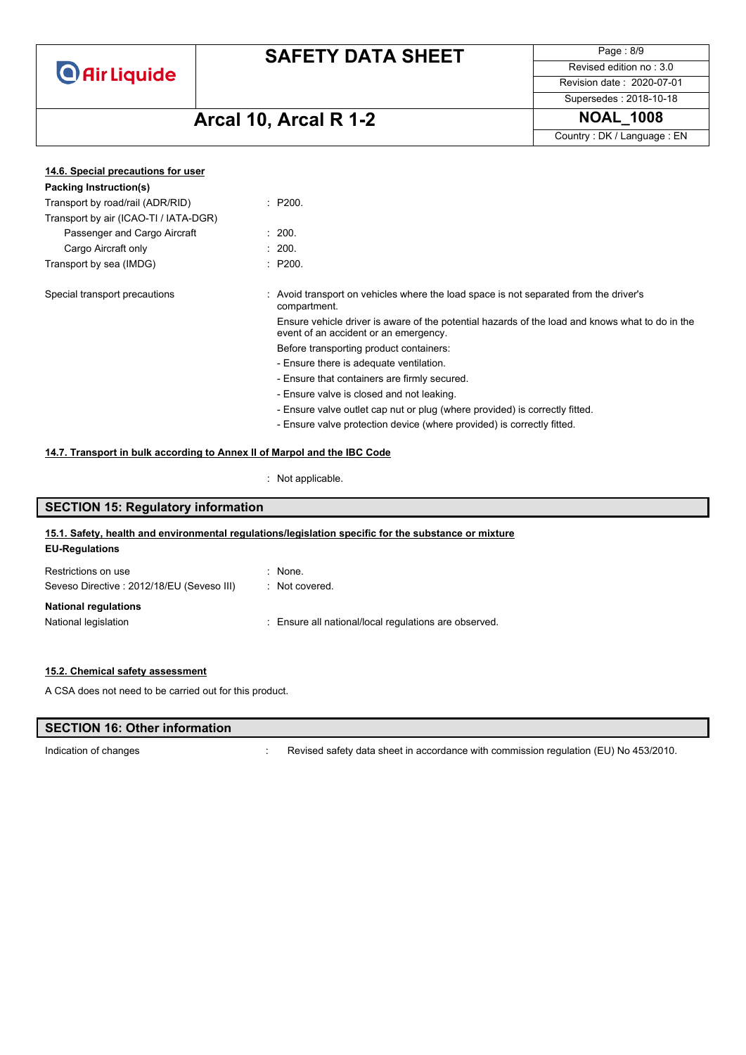## **SAFETY DATA SHEET**

Page : 8/9 Revised edition no : 3.0 Revision date : 2020-07-01

Supersedes : 2018-10-18

# **Arcal 10, Arcal R 1-2 NOAL\_1008**

Country : DK / Language : EN

| 14.6. Special precautions for user                                          |  |                                                                                                                                          |
|-----------------------------------------------------------------------------|--|------------------------------------------------------------------------------------------------------------------------------------------|
| Packing Instruction(s)                                                      |  |                                                                                                                                          |
| Transport by road/rail (ADR/RID)                                            |  | : P200.                                                                                                                                  |
| Transport by air (ICAO-TI / IATA-DGR)                                       |  |                                                                                                                                          |
| Passenger and Cargo Aircraft                                                |  | : 200.                                                                                                                                   |
| Cargo Aircraft only                                                         |  | : 200.                                                                                                                                   |
| Transport by sea (IMDG)                                                     |  | : P200.                                                                                                                                  |
| Special transport precautions                                               |  | Avoid transport on vehicles where the load space is not separated from the driver's<br>compartment.                                      |
|                                                                             |  | Ensure vehicle driver is aware of the potential hazards of the load and knows what to do in the<br>event of an accident or an emergency. |
|                                                                             |  | Before transporting product containers:                                                                                                  |
|                                                                             |  | - Ensure there is adequate ventilation.                                                                                                  |
|                                                                             |  | - Ensure that containers are firmly secured.                                                                                             |
| - Ensure valve is closed and not leaking.                                   |  |                                                                                                                                          |
| - Ensure valve outlet cap nut or plug (where provided) is correctly fitted. |  |                                                                                                                                          |
|                                                                             |  | - Ensure valve protection device (where provided) is correctly fitted.                                                                   |
| 14.7. Transport in bulk according to Annex II of Marpol and the IBC Code    |  |                                                                                                                                          |

: Not applicable.

### **SECTION 15: Regulatory information 15.1. Safety, health and environmental regulations/legislation specific for the substance or mixture**

### **EU-Regulations** Restrictions on use : None.

| Restrictions on use                       | : inone.                                              |
|-------------------------------------------|-------------------------------------------------------|
| Seveso Directive: 2012/18/EU (Seveso III) | : Not covered.                                        |
| <b>National regulations</b>               |                                                       |
| National legislation                      | : Ensure all national/local regulations are observed. |
|                                           |                                                       |

#### **15.2. Chemical safety assessment**

A CSA does not need to be carried out for this product.

# **SECTION 16: Other information**

Indication of changes **indication** of changes **in the state of the Contract Service Service** Revised safety data sheet in accordance with commission regulation (EU) No 453/2010.